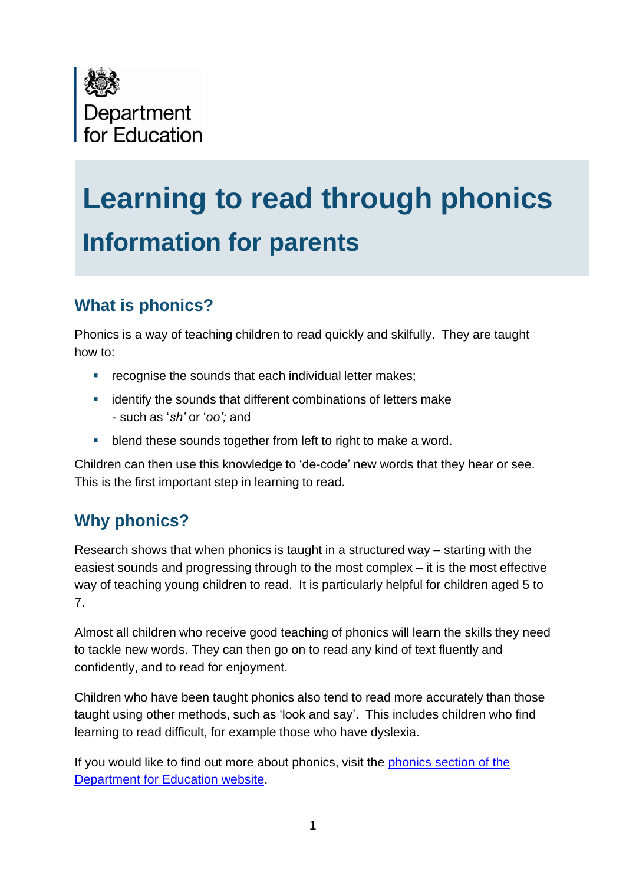

# **Learning to read through phonics Information for parents**

# **What is phonics?**

Phonics is a way of teaching children to read quickly and skilfully. They are taught how to:

- **•** recognise the sounds that each individual letter makes;
- **EXECUTE:** identify the sounds that different combinations of letters make - such as '*sh'* or '*oo';* and
- **-** blend these sounds together from left to right to make a word.

Children can then use this knowledge to 'de-code' new words that they hear or see. This is the first important step in learning to read.

# **Why phonics?**

Research shows that when phonics is taught in a structured way – starting with the easiest sounds and progressing through to the most complex – it is the most effective way of teaching young children to read. It is particularly helpful for children aged 5 to 7.

Almost all children who receive good teaching of phonics will learn the skills they need to tackle new words. They can then go on to read any kind of text fluently and confidently, and to read for enjoyment.

Children who have been taught phonics also tend to read more accurately than those taught using other methods, such as 'look and say'. This includes children who find learning to read difficult, for example those who have dyslexia.

If you would like to find out more about phonics, visit the phonics section of the [Department for Education website.](http://www.education.gov.uk/schools/teachingandlearning/pedagogy/phonics)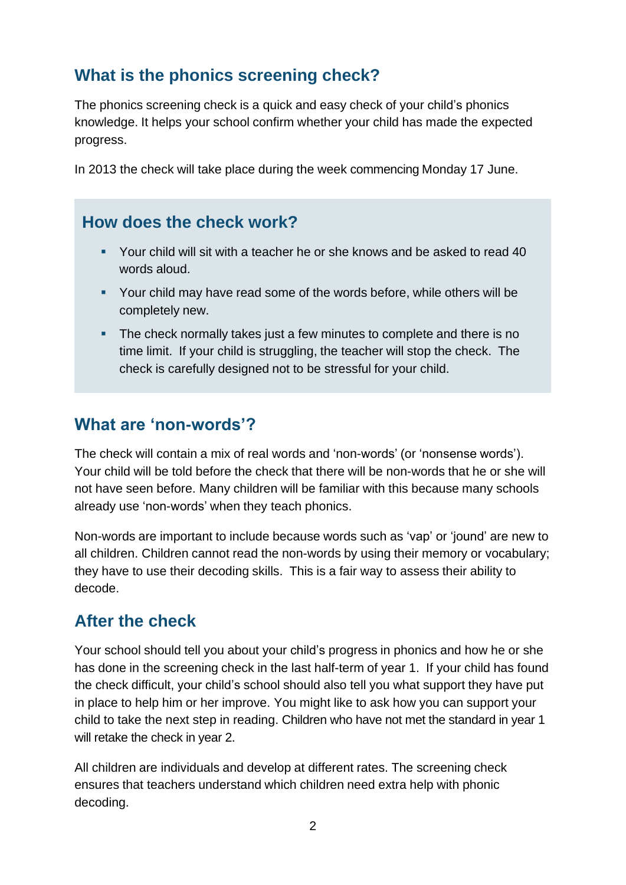# **What is the phonics screening check?**

The phonics screening check is a quick and easy check of your child's phonics knowledge. It helps your school confirm whether your child has made the expected progress.

In 2013 the check will take place during the week commencing Monday 17 June.

### **How does the check work?**

- Your child will sit with a teacher he or she knows and be asked to read 40 words aloud.
- Your child may have read some of the words before, while others will be completely new.
- The check normally takes just a few minutes to complete and there is no time limit. If your child is struggling, the teacher will stop the check. The check is carefully designed not to be stressful for your child.

## **What are 'non-words'?**

The check will contain a mix of real words and 'non-words' (or 'nonsense words'). Your child will be told before the check that there will be non-words that he or she will not have seen before. Many children will be familiar with this because many schools already use 'non-words' when they teach phonics.

Non-words are important to include because words such as 'vap' or 'jound' are new to all children. Children cannot read the non-words by using their memory or vocabulary; they have to use their decoding skills. This is a fair way to assess their ability to decode.

# **After the check**

Your school should tell you about your child's progress in phonics and how he or she has done in the screening check in the last half-term of year 1. If your child has found the check difficult, your child's school should also tell you what support they have put in place to help him or her improve. You might like to ask how you can support your child to take the next step in reading. Children who have not met the standard in year 1 will retake the check in year 2.

All children are individuals and develop at different rates. The screening check ensures that teachers understand which children need extra help with phonic decoding.